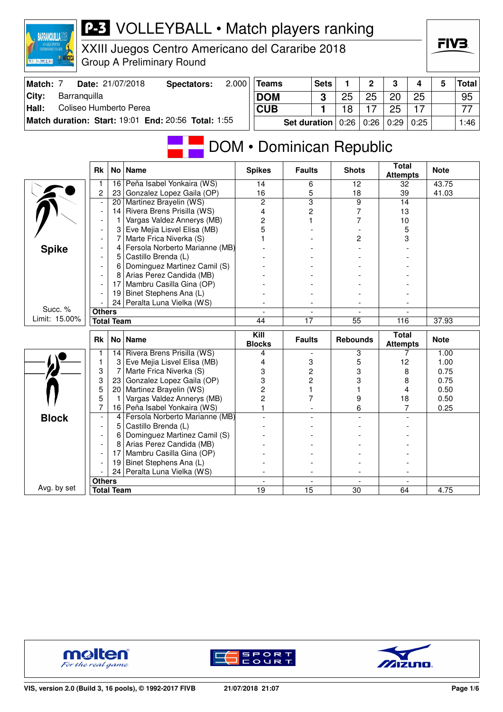|                          | XXIII Juegos Centro Americano del Cararibe 2018<br><b>Group A Preliminary Round</b><br>2.000<br>Date: 21/07/2018 |                   |                                                          |  |                          |                     |             |                 |      |                                 |      |                |              |
|--------------------------|------------------------------------------------------------------------------------------------------------------|-------------------|----------------------------------------------------------|--|--------------------------|---------------------|-------------|-----------------|------|---------------------------------|------|----------------|--------------|
| Match: 7                 |                                                                                                                  |                   | <b>Spectators:</b>                                       |  | <b>Teams</b>             |                     | <b>Sets</b> | 1               | 2    | 3                               | 4    | 5              | <b>Total</b> |
| City:<br>Barranquilla    |                                                                                                                  |                   |                                                          |  | <b>DOM</b>               |                     | 3           | 25              | 25   | 20                              | 25   |                | 95           |
| Hall:                    | Coliseo Humberto Perea                                                                                           |                   |                                                          |  |                          |                     | 1           | 18              | 17   | 25                              | 17   |                | 77           |
|                          |                                                                                                                  |                   | Match duration: Start: 19:01 End: 20:56 Total: 1:55      |  |                          | <b>Set duration</b> |             | 0:26            | 0:26 | 0:29                            | 0:25 |                | 1:46         |
| DOM • Dominican Republic |                                                                                                                  |                   |                                                          |  |                          |                     |             |                 |      |                                 |      |                |              |
|                          | <b>Rk</b>                                                                                                        |                   | No   Name                                                |  | <b>Spikes</b>            | <b>Faults</b>       |             | <b>Shots</b>    |      | <b>Total</b><br><b>Attempts</b> |      | <b>Note</b>    |              |
|                          | 1<br>2                                                                                                           | 16<br>23          | Peña Isabel Yonkaira (WS)<br>Gonzalez Lopez Gaila (OP)   |  | 14<br>16                 | 6                   | 5           | 12<br>18        |      | 32<br>39                        |      | 43.75<br>41.03 |              |
|                          | $\overline{\phantom{a}}$                                                                                         | 20                | Martinez Brayelin (WS)                                   |  | 2                        |                     | 3           | 9               |      | 14                              |      |                |              |
|                          | $\overline{\phantom{a}}$                                                                                         | 14                | Rivera Brens Prisilla (WS)                               |  | 4                        |                     | 2           | 7               |      | 13                              |      |                |              |
|                          |                                                                                                                  | 1                 | Vargas Valdez Annerys (MB)                               |  | 2                        |                     |             |                 | 7    | 10                              |      |                |              |
|                          |                                                                                                                  | 3                 | Eve Mejia Lisvel Elisa (MB)                              |  | 5                        |                     |             |                 |      | 5                               |      |                |              |
|                          |                                                                                                                  | 7                 | Marte Frica Niverka (S)                                  |  |                          |                     |             | 2               |      | 3                               |      |                |              |
| <b>Spike</b>             |                                                                                                                  | 4                 | Fersola Norberto Marianne (MB)                           |  |                          |                     |             |                 |      |                                 |      |                |              |
|                          |                                                                                                                  | 5<br>6            | Castillo Brenda (L)                                      |  |                          |                     |             |                 |      |                                 |      |                |              |
|                          |                                                                                                                  | 8                 | Dominguez Martinez Camil (S)<br>Arias Perez Candida (MB) |  |                          |                     |             |                 |      |                                 |      |                |              |
|                          |                                                                                                                  | 17                | Mambru Casilla Gina (OP)                                 |  |                          |                     |             |                 |      |                                 |      |                |              |
|                          |                                                                                                                  | 19                | Binet Stephens Ana (L)                                   |  |                          |                     |             |                 |      |                                 |      |                |              |
|                          |                                                                                                                  | 24                | Peralta Luna Vielka (WS)                                 |  |                          |                     |             |                 |      |                                 |      |                |              |
| Succ. %                  | <b>Others</b>                                                                                                    |                   |                                                          |  |                          |                     |             |                 |      |                                 |      |                |              |
| Limit: 15.00%            |                                                                                                                  | <b>Total Team</b> |                                                          |  | 44                       | $\overline{17}$     |             | $\overline{55}$ |      | 116                             |      | 37.93          |              |
|                          | Rk                                                                                                               |                   | No   Name                                                |  | Kill<br><b>Blocks</b>    | <b>Faults</b>       |             | <b>Rebounds</b> |      | <b>Total</b><br><b>Attempts</b> |      | <b>Note</b>    |              |
|                          | 1                                                                                                                |                   | 14 Rivera Brens Prisilla (WS)                            |  | 4                        |                     |             | 3               |      | 7                               |      | 1.00           |              |
|                          | 1                                                                                                                | 31                | Eve Mejia Lisvel Elisa (MB)                              |  | 4                        |                     | 3           | 5               |      | 12                              |      | 1.00           |              |
|                          | 3<br>3                                                                                                           | 7<br>23           | Marte Frica Niverka (S)<br>Gonzalez Lopez Gaila (OP)     |  | 3<br>3                   |                     | 2           | 3               |      | 8                               |      | 0.75<br>0.75   |              |
|                          | 5                                                                                                                | 20                | Martinez Brayelin (WS)                                   |  | 2                        | 2<br>1              |             | 3               |      | 8<br>4                          |      | 0.50           |              |
|                          | 5                                                                                                                |                   | Vargas Valdez Annerys (MB)                               |  | 2                        |                     | 7           | 9               |      | 18                              |      | 0.50           |              |
|                          | 7                                                                                                                |                   | 16 Peña Isabel Yonkaira (WS)                             |  | 1                        |                     |             | 6               |      | 7                               |      | 0.25           |              |
| <b>Block</b>             |                                                                                                                  |                   | 4   Fersola Norberto Marianne (MB)                       |  |                          |                     |             |                 |      |                                 |      |                |              |
|                          |                                                                                                                  | 5                 | Castillo Brenda (L)                                      |  |                          |                     |             |                 |      |                                 |      |                |              |
|                          |                                                                                                                  | 6                 | Dominguez Martinez Camil (S)                             |  |                          |                     |             |                 |      |                                 |      |                |              |
|                          |                                                                                                                  |                   | 8 Arias Perez Candida (MB)                               |  |                          |                     |             |                 |      |                                 |      |                |              |
|                          |                                                                                                                  |                   | 17 Mambru Casilla Gina (OP)<br>Binet Stephens Ana (L)    |  |                          |                     |             |                 |      |                                 |      |                |              |
|                          |                                                                                                                  | 19 I<br>24        | Peralta Luna Vielka (WS)                                 |  | $\overline{\phantom{a}}$ |                     |             |                 |      |                                 |      |                |              |
|                          | <b>Others</b>                                                                                                    |                   |                                                          |  |                          |                     |             |                 |      |                                 |      |                |              |
| Avg. by set              | <b>Total Team</b>                                                                                                |                   |                                                          |  | 19                       | 15                  |             | 30              |      | 64                              |      | 4.75           |              |

**P-3** VOLLEYBALL • Match players ranking



**BARRANQUILLA2018** 





FIV3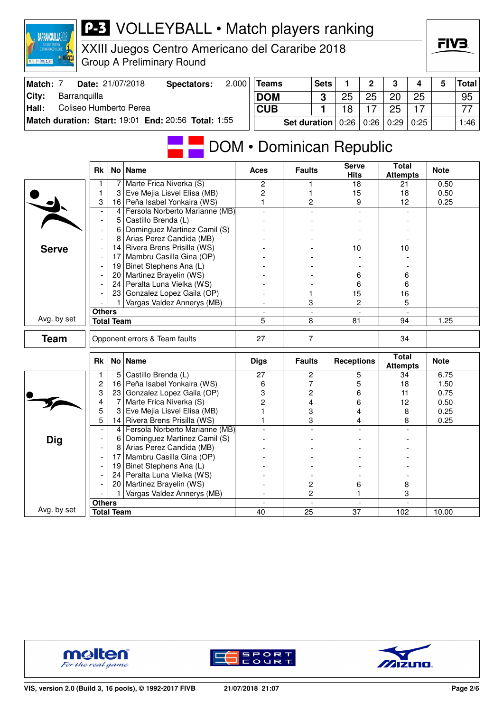| XXII JUEGOS DEPORTIVOS<br>CENTROANERICANOS Y DEL CARIE<br>图 二 四 五 五 | XXIII Juegos Centro Americano del Cararibe 2018<br><b>Group A Preliminary Round</b><br>2.000<br>Date: 21/07/2018                   |                   |                                                              |                     |                          |                               |             |                             |                |                                 |      |              |              |  |
|---------------------------------------------------------------------|------------------------------------------------------------------------------------------------------------------------------------|-------------------|--------------------------------------------------------------|---------------------|--------------------------|-------------------------------|-------------|-----------------------------|----------------|---------------------------------|------|--------------|--------------|--|
| Match: 7                                                            |                                                                                                                                    |                   | <b>Spectators:</b>                                           |                     | <b>Teams</b>             |                               | <b>Sets</b> | 1                           | $\overline{2}$ | 3                               | 4    | 5            | <b>Total</b> |  |
| Barranquilla<br>City:                                               |                                                                                                                                    |                   |                                                              |                     | <b>DOM</b>               |                               | 3           | 25                          | 25             | 20                              | 25   |              | 95           |  |
| Coliseo Humberto Perea<br>Hall:                                     |                                                                                                                                    |                   |                                                              | <b>CUB</b>          |                          |                               | 1           | 18                          | 17             | 25                              | 17   |              | 77           |  |
|                                                                     |                                                                                                                                    |                   | Match duration: Start: 19:01 End: 20:56 Total: 1:55          |                     |                          |                               |             |                             |                |                                 |      |              |              |  |
|                                                                     |                                                                                                                                    |                   |                                                              | <b>Set duration</b> |                          |                               |             | 0:26                        | 0:26           | 0:29                            | 0:25 |              | 1:46         |  |
|                                                                     |                                                                                                                                    |                   |                                                              |                     | DOM • Dominican Republic |                               |             |                             |                |                                 |      |              |              |  |
|                                                                     | Rk                                                                                                                                 |                   | No Name                                                      |                     | Aces                     | <b>Faults</b>                 |             | <b>Serve</b><br><b>Hits</b> |                | <b>Total</b><br><b>Attempts</b> |      | <b>Note</b>  |              |  |
|                                                                     | 1                                                                                                                                  | 7                 | Marte Frica Niverka (S)                                      |                     | 2                        | 1                             |             | 18                          |                | 21                              |      | 0.50         |              |  |
|                                                                     | 1                                                                                                                                  | 3                 | Eve Mejia Lisvel Elisa (MB)                                  |                     | 2                        |                               |             | 15                          |                | 18                              |      | 0.50         |              |  |
|                                                                     | 3                                                                                                                                  |                   | 16 Peña Isabel Yonkaira (WS)                                 |                     | 1                        | 2                             |             | 9                           |                | 12                              |      | 0.25         |              |  |
|                                                                     |                                                                                                                                    | 4                 | Fersola Norberto Marianne (MB)                               |                     |                          |                               |             |                             |                |                                 |      |              |              |  |
|                                                                     | Castillo Brenda (L)<br>5<br>$\overline{a}$<br>Dominguez Martinez Camil (S)<br>6<br>$\overline{a}$<br>Arias Perez Candida (MB)<br>8 |                   |                                                              |                     |                          |                               |             |                             |                |                                 |      |              |              |  |
|                                                                     |                                                                                                                                    |                   |                                                              |                     |                          |                               |             |                             |                |                                 |      |              |              |  |
| <b>Serve</b>                                                        |                                                                                                                                    |                   | 14 Rivera Brens Prisilla (WS)                                |                     |                          |                               |             | 10                          |                | 10                              |      |              |              |  |
|                                                                     |                                                                                                                                    |                   | 17 Mambru Casilla Gina (OP)                                  |                     |                          |                               |             |                             |                |                                 |      |              |              |  |
|                                                                     |                                                                                                                                    | 19                | Binet Stephens Ana (L)                                       |                     |                          |                               |             |                             |                |                                 |      |              |              |  |
|                                                                     |                                                                                                                                    | 20 <sub>1</sub>   | Martinez Brayelin (WS)                                       |                     |                          |                               |             | 6                           |                | 6                               |      |              |              |  |
|                                                                     |                                                                                                                                    | 24                | Peralta Luna Vielka (WS)                                     |                     |                          |                               |             | 6                           |                | 6                               |      |              |              |  |
|                                                                     |                                                                                                                                    |                   | 23 Gonzalez Lopez Gaila (OP)                                 |                     |                          |                               |             | 15                          |                | 16                              |      |              |              |  |
|                                                                     |                                                                                                                                    |                   | Vargas Valdez Annerys (MB)                                   |                     |                          | 3<br>$\overline{\phantom{a}}$ |             | 2                           |                | 5                               |      |              |              |  |
| Avg. by set                                                         | <b>Others</b>                                                                                                                      | <b>Total Team</b> |                                                              |                     | 5                        | 8                             |             | 81                          |                | 94                              |      | 1.25         |              |  |
|                                                                     |                                                                                                                                    |                   |                                                              |                     |                          |                               |             |                             |                |                                 |      |              |              |  |
| <b>Team</b>                                                         |                                                                                                                                    |                   | Opponent errors & Team faults                                |                     | 27                       | $\overline{7}$                |             |                             |                | 34                              |      |              |              |  |
|                                                                     | Rk                                                                                                                                 |                   | No   Name                                                    |                     | <b>Digs</b>              | <b>Faults</b>                 |             | <b>Receptions</b>           |                | <b>Total</b><br><b>Attempts</b> |      | <b>Note</b>  |              |  |
|                                                                     | 1                                                                                                                                  |                   | 5 Castillo Brenda (L)                                        |                     | 27                       | 2                             |             |                             | 5              | 34                              |      | 6.75         |              |  |
|                                                                     | $\overline{c}$<br>3                                                                                                                |                   | 16 Peña Isabel Yonkaira (WS)<br>23 Gonzalez Lopez Gaila (OP) |                     | 6                        | 7                             |             |                             | 5              | 18                              |      | 1.50         |              |  |
|                                                                     | 4                                                                                                                                  | 7                 | Marte Frica Niverka (S)                                      |                     | 3<br>2                   | 2<br>4                        |             | 6<br>6                      |                | 11<br>12                        |      | 0.75<br>0.50 |              |  |
|                                                                     | 5                                                                                                                                  | 3                 | Eve Mejia Lisvel Elisa (MB)                                  |                     | 1                        | 3                             |             | 4                           |                | 8                               |      | 0.25         |              |  |
|                                                                     | 5                                                                                                                                  |                   | 14 Rivera Brens Prisilla (WS)                                |                     | 1                        | 3                             |             |                             | 4              | 8                               |      | 0.25         |              |  |
|                                                                     |                                                                                                                                    | 4                 | Fersola Norberto Marianne (MB)                               |                     |                          |                               |             |                             |                |                                 |      |              |              |  |
| <b>Dig</b>                                                          |                                                                                                                                    | 6                 | Dominguez Martinez Camil (S)                                 |                     |                          |                               |             |                             |                |                                 |      |              |              |  |
|                                                                     | $\overline{\phantom{a}}$                                                                                                           | 8                 | Arias Perez Candida (MB)                                     |                     |                          |                               |             |                             |                |                                 |      |              |              |  |
|                                                                     | $\overline{\phantom{a}}$                                                                                                           | 17                | Mambru Casilla Gina (OP)                                     |                     |                          |                               |             |                             |                |                                 |      |              |              |  |
|                                                                     | $\overline{\phantom{a}}$                                                                                                           | 19 <sub>1</sub>   | Binet Stephens Ana (L)                                       |                     |                          |                               |             |                             |                |                                 |      |              |              |  |
|                                                                     | $\overline{\phantom{a}}$                                                                                                           |                   | 24 Peralta Luna Vielka (WS)<br>20   Martinez Brayelin (WS)   |                     |                          | 2                             |             | 6                           |                | 8                               |      |              |              |  |
|                                                                     |                                                                                                                                    |                   | Vargas Valdez Annerys (MB)                                   |                     |                          | 2                             |             |                             |                | 3                               |      |              |              |  |
|                                                                     | <b>Others</b>                                                                                                                      |                   |                                                              |                     |                          |                               |             |                             |                |                                 |      |              |              |  |
| Avg. by set                                                         |                                                                                                                                    | <b>Total Team</b> |                                                              |                     | 40                       | $\overline{25}$               |             | $\overline{37}$             |                | 102                             |      | 10.00        |              |  |

**P-3** VOLLEYBALL • Match players ranking



**BARRANQUILLA2018** 





FIV<sub>3</sub>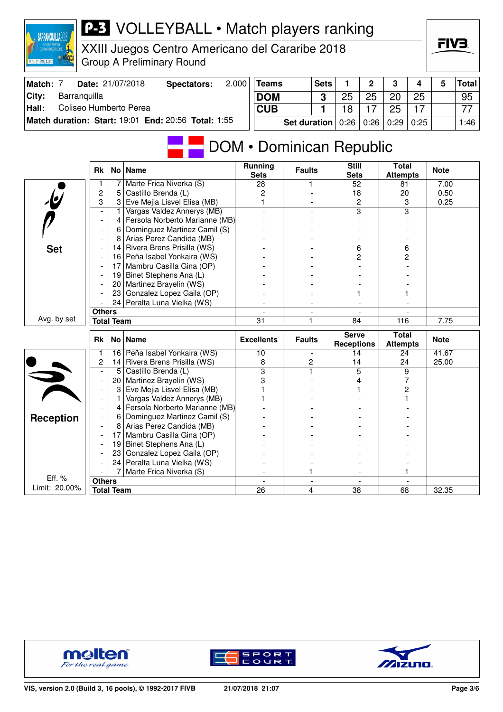

## **P-3** VOLLEYBALL • Match players ranking

XXIII Juegos Centro Americano del Cararibe 2018 Group A Preliminary Round

| Match: | <b>Date: 21/07/2018</b>                             | Spectators: | 2.000 | <b>Teams</b> | <b>Sets</b> |    | $\Omega$                 | 3  |              | Total <sub>l</sub> |
|--------|-----------------------------------------------------|-------------|-------|--------------|-------------|----|--------------------------|----|--------------|--------------------|
| City:  | Barranguilla                                        |             |       | <b>DOM</b>   |             |    | 25                       | 20 | 25           | 95                 |
| Hall:  | Coliseo Humberto Perea                              |             |       | <b>CUB</b>   |             | 18 |                          | 25 |              | 77                 |
|        | Match duration: Start: 19:01 End: 20:56 Total: 1:55 |             |       | Set duration |             |    | $0.26$   $0.26$   $0.29$ |    | $\vert$ 0:25 | 1:46               |

## DOM • Dominican Republic

|                         | <b>Rk</b>                |                   | No   Name                      | <b>Running</b><br><b>Sets</b> | <b>Faults</b>            | <b>Still</b><br><b>Sets</b>       | <b>Total</b><br><b>Attempts</b> | <b>Note</b> |
|-------------------------|--------------------------|-------------------|--------------------------------|-------------------------------|--------------------------|-----------------------------------|---------------------------------|-------------|
|                         | 1                        | 7                 | Marte Frica Niverka (S)        | 28                            | 1                        | 52                                | 81                              | 7.00        |
|                         | 2                        | 5                 | Castillo Brenda (L)            | $\overline{c}$                |                          | 18                                | 20                              | 0.50        |
|                         | 3                        | 3                 | Eve Mejia Lisvel Elisa (MB)    |                               |                          | $\overline{c}$                    | 3                               | 0.25        |
|                         |                          | 1                 | Vargas Valdez Annerys (MB)     |                               |                          | 3                                 | 3                               |             |
|                         |                          | 4                 | Fersola Norberto Marianne (MB) |                               |                          |                                   |                                 |             |
|                         |                          | 6                 | Dominguez Martinez Camil (S)   |                               |                          |                                   |                                 |             |
|                         |                          | 8                 | Arias Perez Candida (MB)       |                               |                          |                                   |                                 |             |
| <b>Set</b>              |                          | 14                | Rivera Brens Prisilla (WS)     |                               |                          | 6                                 | 6                               |             |
|                         |                          | 16                | Peña Isabel Yonkaira (WS)      |                               |                          | 2                                 | 2                               |             |
|                         |                          | 17                | Mambru Casilla Gina (OP)       |                               |                          |                                   |                                 |             |
|                         |                          | 19                | Binet Stephens Ana (L)         |                               |                          |                                   |                                 |             |
|                         |                          | 20                | Martinez Brayelin (WS)         |                               |                          |                                   |                                 |             |
|                         |                          | 23                | Gonzalez Lopez Gaila (OP)      |                               |                          |                                   |                                 |             |
|                         |                          | 24                | Peralta Luna Vielka (WS)       |                               |                          |                                   |                                 |             |
|                         | <b>Others</b>            |                   |                                |                               |                          |                                   |                                 |             |
| Avg. by set             | <b>Total Team</b>        |                   | 31                             | 1                             | 84                       | 116                               | 7.75                            |             |
|                         |                          |                   |                                |                               |                          |                                   |                                 |             |
|                         | <b>Rk</b>                | No l              | <b>Name</b>                    | <b>Excellents</b>             | <b>Faults</b>            | <b>Serve</b><br><b>Receptions</b> | <b>Total</b><br><b>Attempts</b> | <b>Note</b> |
|                         | 1                        | 16                | Peña Isabel Yonkaira (WS)      | 10                            | $\overline{\phantom{a}}$ | 14                                | 24                              | 41.67       |
|                         | 2                        | 14                | Rivera Brens Prisilla (WS)     | 8                             | 2                        | 14                                | 24                              | 25.00       |
|                         |                          | 5                 | Castillo Brenda (L)            | $\overline{3}$                | $\overline{1}$           | $\overline{5}$                    | 9                               |             |
|                         | $\overline{\phantom{a}}$ | 20                | Martinez Brayelin (WS)         | 3                             |                          | 4                                 | 7                               |             |
|                         |                          | 3                 | Eve Mejia Lisvel Elisa (MB)    |                               |                          |                                   | 2                               |             |
|                         |                          | 1                 | Vargas Valdez Annerys (MB)     |                               |                          |                                   |                                 |             |
|                         |                          | 4                 | Fersola Norberto Marianne (MB) |                               |                          |                                   |                                 |             |
|                         |                          | 6                 | Dominguez Martinez Camil (S)   |                               |                          |                                   |                                 |             |
| <b>Reception</b>        |                          | 8                 | Arias Perez Candida (MB)       |                               |                          |                                   |                                 |             |
|                         | $\overline{\phantom{a}}$ | 17                | Mambru Casilla Gina (OP)       |                               |                          |                                   |                                 |             |
|                         |                          | 19                | Binet Stephens Ana (L)         |                               |                          |                                   |                                 |             |
|                         |                          | 23                | Gonzalez Lopez Gaila (OP)      |                               |                          |                                   |                                 |             |
|                         |                          | 24                | Peralta Luna Vielka (WS)       |                               |                          |                                   |                                 |             |
|                         |                          | 7                 | Marte Frica Niverka (S)        |                               | 1                        |                                   |                                 |             |
| Eff. %<br>Limit: 20.00% | <b>Others</b>            | <b>Total Team</b> |                                | 26                            | 4                        | 38                                | 68                              | 32.35       |





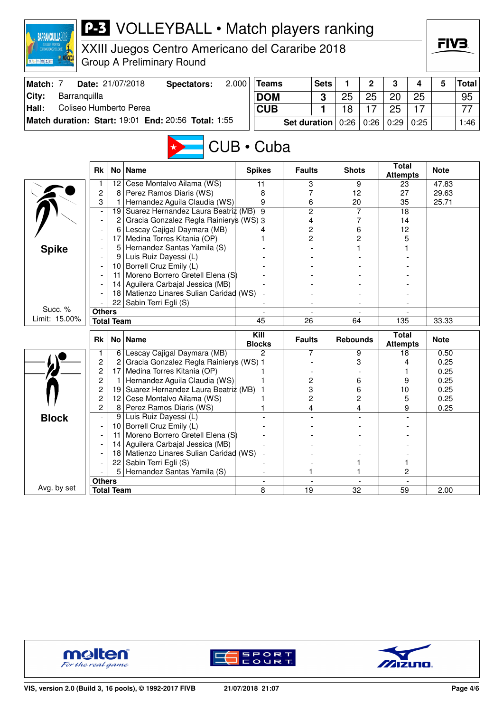| <b>BARRANQUILLA2</b>                          |                                |                                                     | <b>P-3</b> VOLLEYBALL • Match players ranking                                       |            |                          |                     |             |                 |      |                                 |    | FIV3         |              |  |
|-----------------------------------------------|--------------------------------|-----------------------------------------------------|-------------------------------------------------------------------------------------|------------|--------------------------|---------------------|-------------|-----------------|------|---------------------------------|----|--------------|--------------|--|
| <b>TROANERICANOS Y DEL CARIBE</b><br>海行 直接 以前 |                                |                                                     | XXIII Juegos Centro Americano del Cararibe 2018<br><b>Group A Preliminary Round</b> |            |                          |                     |             |                 |      |                                 |    |              |              |  |
| Match: 7                                      |                                |                                                     | Date: 21/07/2018<br><b>Spectators:</b>                                              | 2.000      | <b>Teams</b>             |                     | <b>Sets</b> | 1               | 2    | 3                               | 4  | 5            | <b>Total</b> |  |
| City:<br>Barranquilla                         |                                |                                                     |                                                                                     | <b>DOM</b> |                          |                     | 3           | 25              | 25   | 20                              | 25 |              | 95           |  |
| Hall:<br>Coliseo Humberto Perea               |                                |                                                     |                                                                                     | <b>CUB</b> |                          |                     | 1           | 18              | 17   | 25                              | 17 |              | 77           |  |
|                                               |                                | Match duration: Start: 19:01 End: 20:56 Total: 1:55 |                                                                                     |            | Set duration             |                     | 0:26        | 0:26            | 0:29 | 0:25                            |    | 1:46         |              |  |
|                                               |                                |                                                     |                                                                                     |            |                          |                     |             |                 |      |                                 |    |              |              |  |
| CUB · Cuba                                    |                                |                                                     |                                                                                     |            |                          |                     |             |                 |      |                                 |    |              |              |  |
|                                               | <b>Rk</b><br>No<br><b>Name</b> |                                                     |                                                                                     |            |                          | <b>Faults</b>       |             | <b>Shots</b>    |      | <b>Total</b><br><b>Attempts</b> |    | <b>Note</b>  |              |  |
|                                               |                                |                                                     | 12 Cese Montalvo Ailama (WS)                                                        |            | 11                       | 3                   |             |                 | 9    | 23                              |    | 47.83        |              |  |
|                                               | $\overline{c}$                 | 8                                                   | Perez Ramos Diaris (WS)                                                             |            | 8                        | 7                   |             | 12              |      | 27                              |    | 29.63        |              |  |
|                                               | 3                              | 19                                                  | Hernandez Aguila Claudia (WS)<br>Suarez Hernandez Laura Beatriz (MB)                |            | 9<br>9                   | 6                   |             | 20              |      | 35                              |    | 25.71        |              |  |
|                                               |                                | 2                                                   | Gracia Gonzalez Regla Rainiery's (WS) 3                                             |            |                          | $\overline{2}$<br>4 |             | 7<br>7          |      | 18<br>14                        |    |              |              |  |
|                                               |                                | 6                                                   | Lescay Cajigal Daymara (MB)                                                         |            | 4                        | 2                   |             | 6               |      | 12                              |    |              |              |  |
|                                               |                                |                                                     | 17 Medina Torres Kitania (OP)                                                       |            |                          | 2                   |             | 2               |      | 5                               |    |              |              |  |
| <b>Spike</b>                                  |                                | 5                                                   | Hernandez Santas Yamila (S)                                                         |            |                          |                     |             |                 |      |                                 |    |              |              |  |
|                                               |                                | 9                                                   | Luis Ruiz Dayessi (L)                                                               |            |                          |                     |             |                 |      |                                 |    |              |              |  |
|                                               |                                |                                                     | 10 Borrell Cruz Emily (L)                                                           |            |                          |                     |             |                 |      |                                 |    |              |              |  |
|                                               |                                | 11                                                  | Moreno Borrero Gretell Elena (S)                                                    |            |                          |                     |             |                 |      |                                 |    |              |              |  |
|                                               |                                | 14                                                  | Aguilera Carbajal Jessica (MB)<br>Matienzo Linares Sulian Caridad (WS)              |            |                          |                     |             |                 |      |                                 |    |              |              |  |
|                                               |                                | 18<br>22                                            | Sabin Terri Egli (S)                                                                |            |                          |                     |             |                 |      |                                 |    |              |              |  |
| Succ. %                                       | <b>Others</b>                  |                                                     |                                                                                     |            |                          |                     |             |                 |      |                                 |    |              |              |  |
| Limit: 15.00%                                 |                                | <b>Total Team</b>                                   |                                                                                     |            | 45                       | 26                  |             | 64              |      | $\overline{135}$                |    | 33.33        |              |  |
|                                               |                                |                                                     |                                                                                     |            |                          |                     |             |                 |      |                                 |    |              |              |  |
|                                               | <b>Rk</b>                      | No <sub>1</sub>                                     | <b>Name</b>                                                                         |            | Kill<br><b>Blocks</b>    | <b>Faults</b>       |             | <b>Rebounds</b> |      | <b>Total</b><br><b>Attempts</b> |    | <b>Note</b>  |              |  |
|                                               |                                | 6                                                   | Lescay Cajigal Daymara (MB)                                                         |            | 2                        | 7                   |             |                 | 9    | 18                              | 4  | 0.50         |              |  |
|                                               | 2<br>2                         | 2<br>17                                             | Gracia Gonzalez Regla Rainiery's (WS) 1<br>Medina Torres Kitania (OP)               |            |                          |                     |             |                 | 3    |                                 |    | 0.25<br>0.25 |              |  |
|                                               | 2                              |                                                     | Hernandez Aguila Claudia (WS)                                                       |            |                          | 2                   |             |                 | 6    |                                 | 9  | 0.25         |              |  |
|                                               | 2                              | 19                                                  | Suarez Hernandez Laura Beatriz (MB) 1                                               |            |                          | 3                   |             |                 | 6    | 10                              |    | 0.25         |              |  |
|                                               | 2                              | 12                                                  | Cese Montalvo Ailama (WS)                                                           |            |                          | 2                   |             |                 | 2    |                                 | 5  | 0.25         |              |  |
|                                               | $\overline{c}$                 | 8                                                   | Perez Ramos Diaris (WS)                                                             |            |                          | 4                   |             |                 | 4    |                                 | 9  | 0.25         |              |  |
| <b>Block</b>                                  |                                | 9                                                   | Luis Ruiz Dayessi (L)                                                               |            |                          |                     |             |                 |      |                                 |    |              |              |  |
|                                               |                                |                                                     | 10 Borrell Cruz Emily (L)                                                           |            |                          |                     |             |                 |      |                                 |    |              |              |  |
|                                               |                                | 11                                                  | Moreno Borrero Gretell Elena (S)                                                    |            |                          |                     |             |                 |      |                                 |    |              |              |  |
|                                               |                                | 14<br>18                                            | Aguilera Carbajal Jessica (MB)<br>Matienzo Linares Sulian Caridad (WS)              |            |                          |                     |             |                 |      |                                 |    |              |              |  |
|                                               |                                |                                                     | 22 Sabin Terri Egli (S)                                                             |            |                          |                     |             |                 | 1    |                                 | 1  |              |              |  |
|                                               |                                | 5                                                   | Hernandez Santas Yamila (S)                                                         |            | $\overline{\phantom{a}}$ | 1                   |             |                 | 1    |                                 | 2  |              |              |  |
|                                               | <b>Others</b>                  |                                                     |                                                                                     |            |                          |                     |             |                 |      |                                 |    |              |              |  |
| Avg. by set                                   |                                | <b>Total Team</b>                                   |                                                                                     |            | 8                        | 19                  |             | 32              |      | 59                              |    | 2.00         |              |  |





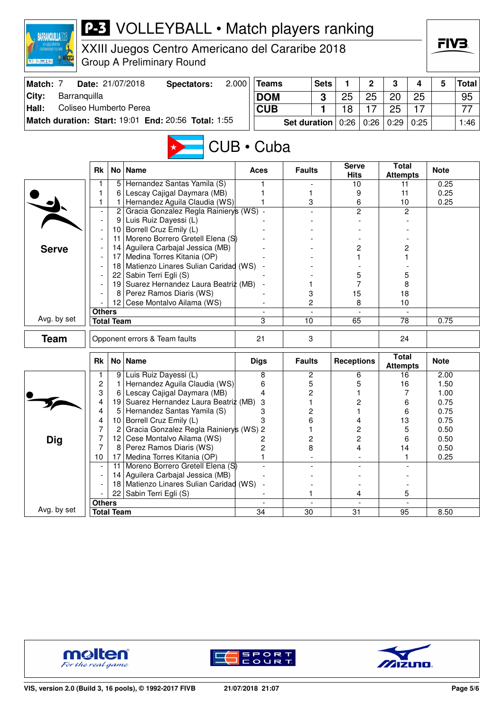| <b>BARRANQUILLA20</b>           |                                        |                   | <b>P-3</b> VOLLEYBALL • Match players ranking                      |       |                  |                     |                          |                             |                          |                                 |                          |              |              |
|---------------------------------|----------------------------------------|-------------------|--------------------------------------------------------------------|-------|------------------|---------------------|--------------------------|-----------------------------|--------------------------|---------------------------------|--------------------------|--------------|--------------|
|                                 |                                        |                   | XXIII Juegos Centro Americano del Cararibe 2018                    |       |                  |                     |                          |                             |                          |                                 |                          | FIV3.        |              |
| ※ ト 幅 × ■                       |                                        |                   | Group A Preliminary Round                                          |       |                  |                     |                          |                             |                          |                                 |                          |              |              |
| Match: 7                        |                                        |                   | Date: 21/07/2018<br><b>Spectators:</b>                             | 2.000 | <b>Teams</b>     |                     | <b>Sets</b>              | 1                           | $\mathbf{2}$             | 3                               | 4                        | 5            | <b>Total</b> |
| City:<br>Barranquilla           |                                        |                   |                                                                    |       | <b>DOM</b>       |                     | 3                        | 25<br>25                    |                          | 20                              | 25                       |              | 95           |
| Coliseo Humberto Perea<br>Hall: |                                        | <b>CUB</b>        |                                                                    | 1     | 18               | 17                  | 25                       | 17                          |                          | 77                              |                          |              |              |
|                                 |                                        |                   | Match duration: Start: 19:01 End: 20:56 Total: 1:55                |       |                  | <b>Set duration</b> |                          | 0:26                        | 0:26                     | 0:29                            | 0:25                     |              | 1:46         |
|                                 |                                        |                   |                                                                    |       | $CUB \cdot Cuba$ |                     |                          |                             |                          |                                 |                          |              |              |
|                                 | <b>Rk</b>                              |                   | No   Name                                                          |       | Aces             | <b>Faults</b>       |                          | <b>Serve</b><br><b>Hits</b> |                          | <b>Total</b><br><b>Attempts</b> |                          | <b>Note</b>  |              |
|                                 | 1                                      | 5                 | Hernandez Santas Yamila (S)                                        |       |                  |                     |                          | 10                          |                          | 11                              |                          | 0.25         |              |
|                                 | 1<br>1                                 | 6<br>1            | Lescay Cajigal Daymara (MB)<br>Hernandez Aguila Claudia (WS)       |       |                  | 1<br>3              |                          | 9<br>6                      |                          | 11                              |                          | 0.25         |              |
|                                 | $\overline{\phantom{a}}$               | $\overline{2}$    | Gracia Gonzalez Regla Rainierys (WS) -                             |       |                  |                     |                          |                             | 2                        | 10                              | $\overline{c}$           | 0.25         |              |
|                                 | 9 <sup>°</sup>                         |                   | Luis Ruiz Dayessi (L)                                              |       |                  |                     |                          |                             |                          |                                 |                          |              |              |
|                                 |                                        |                   | 10 Borrell Cruz Emily (L)                                          |       |                  |                     |                          |                             |                          |                                 |                          |              |              |
|                                 |                                        | 11                | Moreno Borrero Gretell Elena (S)                                   |       |                  |                     |                          |                             |                          |                                 |                          |              |              |
| <b>Serve</b>                    |                                        |                   | 14 Aguilera Carbajal Jessica (MB)                                  |       |                  |                     |                          |                             | 2                        |                                 | 2                        |              |              |
|                                 |                                        |                   | 17   Medina Torres Kitania (OP)                                    |       |                  |                     |                          | 1                           |                          |                                 |                          |              |              |
|                                 |                                        |                   | 18 Matienzo Linares Sulian Caridad (WS)<br>22 Sabin Terri Egli (S) |       |                  |                     |                          | 5                           |                          |                                 | 5                        |              |              |
|                                 | 19 Suarez Hernandez Laura Beatriz (MB) |                   |                                                                    |       |                  | 1                   |                          | 7                           |                          | 8                               |                          |              |              |
|                                 |                                        | 8                 | Perez Ramos Diaris (WS)                                            |       |                  | 3                   |                          | 15                          |                          |                                 | 18                       |              |              |
|                                 |                                        |                   | 12 Cese Montalvo Ailama (WS)                                       |       |                  | 2                   |                          | 8                           |                          | 10                              |                          |              |              |
| Avg. by set                     | <b>Others</b>                          |                   |                                                                    |       |                  |                     |                          |                             |                          |                                 |                          |              |              |
|                                 |                                        | <b>Total Team</b> |                                                                    |       | 3                | 10                  |                          | 65                          |                          | 78                              |                          | 0.75         |              |
| <b>Team</b>                     |                                        |                   | Opponent errors & Team faults                                      |       | 21<br>3          |                     |                          |                             |                          | 24                              |                          |              |              |
|                                 | <b>Rk</b>                              |                   | No   Name                                                          |       | <b>Digs</b>      | <b>Faults</b>       |                          | <b>Receptions</b>           |                          | <b>Total</b><br><b>Attempts</b> |                          | <b>Note</b>  |              |
|                                 | 1                                      | 9                 | Luis Ruiz Dayessi (L)                                              |       | 8                | 2                   |                          | 6                           |                          | 16                              |                          | 2.00         |              |
|                                 | $\mathbf{2}$<br>3                      | 1                 | Hernandez Aguila Claudia (WS)                                      |       | 6                | 5<br>2              |                          |                             | 5                        | 16                              | 7                        | 1.50         |              |
|                                 | 4                                      | 6<br>19           | Lescay Cajigal Daymara (MB)<br>Suarez Hernandez Laura Beatriz (MB) |       | 4<br>3           | 1                   |                          | 1<br>2                      |                          |                                 | 6                        | 1.00<br>0.75 |              |
|                                 | 4                                      | 5                 | Hernandez Santas Yamila (S)                                        |       | 3                | 2                   |                          |                             |                          |                                 | 6                        | 0.75         |              |
|                                 | 4                                      | 10                | Borrell Cruz Emily (L)                                             |       | 3                | 6                   |                          |                             | 4                        | 13                              |                          | 0.75         |              |
|                                 | 7                                      | 2                 | Gracia Gonzalez Regla Rainierys (WS) 2                             |       |                  | 1                   |                          |                             | 2                        |                                 | 5                        | 0.50         |              |
| <b>Dig</b>                      | 7                                      |                   | 12 Cese Montalvo Ailama (WS)                                       |       | 2                | 2                   |                          |                             | 2                        |                                 | 6                        | 0.50         |              |
|                                 | 7                                      |                   | 8 Perez Ramos Diaris (WS)                                          |       | $\overline{c}$   | 8                   |                          |                             | 4                        | 14                              |                          | 0.50         |              |
|                                 | 10                                     | 17<br>11          | Medina Torres Kitania (OP)<br>Moreno Borrero Gretell Elena (S)     |       | 1                |                     |                          |                             |                          |                                 | 1                        | 0.25         |              |
|                                 |                                        |                   | 14 Aguilera Carbajal Jessica (MB)                                  |       |                  |                     |                          |                             |                          |                                 |                          |              |              |
|                                 |                                        | 18                | Matienzo Linares Sulian Caridad (WS)                               |       |                  |                     |                          |                             | $\overline{a}$           |                                 |                          |              |              |
|                                 |                                        | 22                | Sabin Terri Egli (S)                                               |       |                  | 1                   |                          | 4                           |                          | 5                               |                          |              |              |
|                                 | <b>Others</b>                          |                   |                                                                    |       | $\blacksquare$   |                     | $\overline{\phantom{a}}$ |                             | $\overline{\phantom{a}}$ |                                 | $\overline{\phantom{a}}$ |              |              |
| Avg. by set                     |                                        | <b>Total Team</b> |                                                                    |       | $\overline{34}$  | 30                  |                          | $\overline{31}$             |                          | 95                              |                          | 8.50         |              |